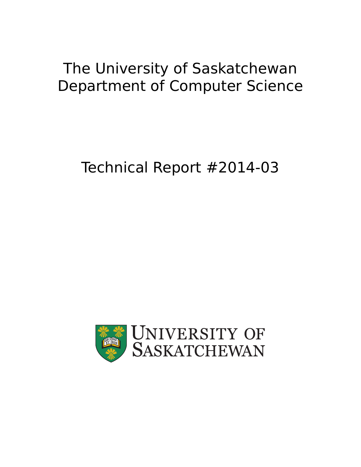# The University of Saskatchewan Department of Computer Science

# Technical Report #2014-03

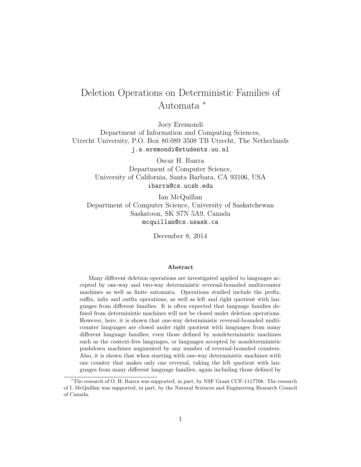# Deletion Operations on Deterministic Families of Automata <sup>∗</sup>

Joey Eremondi

Department of Information and Computing Sciences, Utrecht University, P.O. Box 80.089 3508 TB Utrecht, The Netherlands j.s.eremondi@students.uu.nl

> Oscar H. Ibarra Department of Computer Science, University of California, Santa Barbara, CA 93106, USA ibarra@cs.ucsb.edu

Ian McQuillan Department of Computer Science, University of Saskatchewan Saskatoon, SK S7N 5A9, Canada mcquillan@cs.usask.ca

December 8, 2014

#### Abstract

Many different deletion operations are investigated applied to languages accepted by one-way and two-way deterministic reversal-bounded multicounter machines as well as finite automata. Operations studied include the prefix, suffix, infix and outfix operations, as well as left and right quotient with languages from different families. It is often expected that language families defined from deterministic machines will not be closed under deletion operations. However, here, it is shown that one-way deterministic reversal-bounded multicounter languages are closed under right quotient with languages from many different language families; even those defined by nondeterministic machines such as the context-free languages, or languages accepted by nondeterministic pushdown machines augmented by any number of reversal-bounded counters. Also, it is shown that when starting with one-way deterministic machines with one counter that makes only one reversal, taking the left quotient with languages from many different language families, again including those defined by

<sup>∗</sup>The research of O. H. Ibarra was supported, in part, by NSF Grant CCF-1117708. The research of I. McQuillan was supported, in part, by the Natural Sciences and Engineering Research Council of Canada.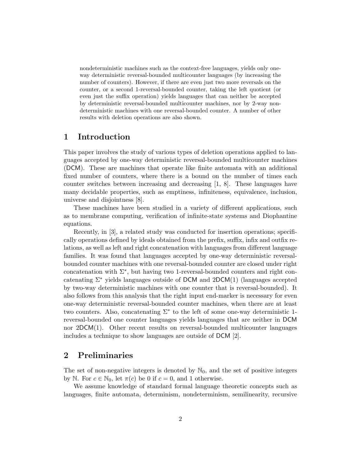nondeterministic machines such as the context-free languages, yields only oneway deterministic reversal-bounded multicounter languages (by increasing the number of counters). However, if there are even just two more reversals on the counter, or a second 1-reversal-bounded counter, taking the left quotient (or even just the suffix operation) yields languages that can neither be accepted by deterministic reversal-bounded multicounter machines, nor by 2-way nondeterministic machines with one reversal-bounded counter. A number of other results with deletion operations are also shown.

# 1 Introduction

This paper involves the study of various types of deletion operations applied to languages accepted by one-way deterministic reversal-bounded multicounter machines (DCM). These are machines that operate like finite automata with an additional fixed number of counters, where there is a bound on the number of times each counter switches between increasing and decreasing [1, 8]. These languages have many decidable properties, such as emptiness, infiniteness, equivalence, inclusion, universe and disjointness [8].

These machines have been studied in a variety of different applications, such as to membrane computing, verification of infinite-state systems and Diophantine equations.

Recently, in [3], a related study was conducted for insertion operations; specifically operations defined by ideals obtained from the prefix, suffix, infix and outfix relations, as well as left and right concatenation with languages from different language families. It was found that languages accepted by one-way deterministic reversalbounded counter machines with one reversal-bounded counter are closed under right concatenation with  $\Sigma^*$ , but having two 1-reversal-bounded counters and right concatenating  $\Sigma^*$  yields languages outside of DCM and 2DCM(1) (languages accepted by two-way deterministic machines with one counter that is reversal-bounded). It also follows from this analysis that the right input end-marker is necessary for even one-way deterministic reversal-bounded counter machines, when there are at least two counters. Also, concatenating  $\Sigma^*$  to the left of some one-way deterministic 1reversal-bounded one counter languages yields languages that are neither in DCM nor  $2DCM(1)$ . Other recent results on reversal-bounded multicounter languages includes a technique to show languages are outside of DCM [2].

# 2 Preliminaries

The set of non-negative integers is denoted by  $\mathbb{N}_0$ , and the set of positive integers by N. For  $c \in \mathbb{N}_0$ , let  $\pi(c)$  be 0 if  $c = 0$ , and 1 otherwise.

We assume knowledge of standard formal language theoretic concepts such as languages, finite automata, determinism, nondeterminism, semilinearity, recursive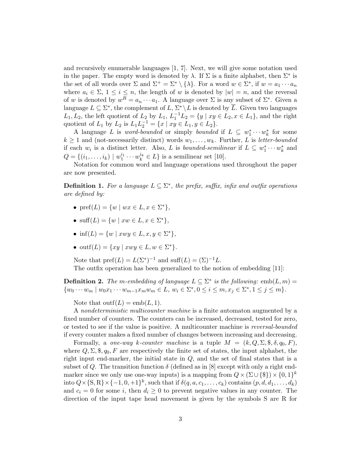and recursively enumerable languages [1, 7]. Next, we will give some notation used in the paper. The empty word is denoted by  $\lambda$ . If  $\Sigma$  is a finite alphabet, then  $\Sigma^*$  is the set of all words over  $\Sigma$  and  $\Sigma^+ = \Sigma^* \setminus {\{\lambda\}}$ . For a word  $w \in \Sigma^*$ , if  $w = a_1 \cdots a_n$ where  $a_i \in \Sigma$ ,  $1 \leq i \leq n$ , the length of w is denoted by  $|w| = n$ , and the reversal of w is denoted by  $w^R = a_n \cdots a_1$ . A language over  $\Sigma$  is any subset of  $\Sigma^*$ . Given a language  $L \subseteq \Sigma^*$ , the complement of  $L, \Sigma^* \backslash L$  is denoted by  $\overline{L}$ . Given two languages  $L_1, L_2$ , the left quotient of  $L_2$  by  $L_1, L_1^{-1}L_2 = \{y \mid xy \in L_2, x \in L_1\}$ , and the right quotient of  $L_1$  by  $L_2$  is  $L_1 L_2^{-1} = \{x \mid xy \in L_1, y \in L_2\}.$ 

A language L is *word-bounded* or simply *bounded* if  $L \subseteq w_1^* \cdots w_k^*$  for some  $k \geq 1$  and (not-necessarily distinct) words  $w_1, \ldots, w_k$ . Further, L is letter-bounded if each  $w_i$  is a distinct letter. Also, L is bounded-semilinear if  $L \subseteq w_1^* \cdots w_k^*$  and  $Q = \{(i_1, ..., i_k) \mid w_1^{i_1} \cdots w_k^{i_k} \in L\}$  is a semilinear set [10].

Notation for common word and language operations used throughout the paper are now presented.

**Definition 1.** For a language  $L \subseteq \Sigma^*$ , the prefix, suffix, infix and outfix operations are defined by:

- $\text{pref}(L) = \{w \mid wx \in L, x \in \Sigma^*\},\$
- suff(L) = { $w | xw \in L, x \in \Sigma^*$  },
- inf(L) = { $w | xwy \in L, x, y \in \Sigma^*$  },
- outf $(L) = \{ xy \mid xwy \in L, w \in \Sigma^* \}.$

Note that  $\text{pref}(L) = L(\Sigma^*)^{-1}$  and  $\text{suffix}(L) = (\Sigma)^{-1}L$ . The outfix operation has been generalized to the notion of embedding [11]:

**Definition 2.** The m-embedding of language  $L \subseteq \Sigma^*$  is the following: emb $(L, m)$  =  $\{w_0 \cdots w_m \mid w_0 x_1 \cdots w_{m-1} x_m w_m \in L, w_i \in \Sigma^*, 0 \le i \le m, x_j \in \Sigma^*, 1 \le j \le m\}.$ 

Note that  $\text{outf}(L) = \text{emb}(L, 1)$ .

A nondeterministic multicounter machine is a finite automaton augmented by a fixed number of counters. The counters can be increased, decreased, tested for zero, or tested to see if the value is positive. A multicounter machine is reversal-bounded if every counter makes a fixed number of changes between increasing and decreasing.

Formally, a one-way k-counter machine is a tuple  $M = (k, Q, \Sigma, \emptyset, \delta, q_0, F)$ , where  $Q, \Sigma, \mathcal{S}, q_0, F$  are respectively the finite set of states, the input alphabet, the right input end-marker, the initial state in  $Q$ , and the set of final states that is a subset of Q. The transition function  $\delta$  (defined as in [8] except with only a right endmarker since we only use one-way inputs) is a mapping from  $Q \times (\Sigma \cup \{\$\}) \times \{0,1\}^k$ into  $Q \times \{S, R\} \times \{-1, 0, +1\}^k$ , such that if  $\delta(q, a, c_1, \ldots, c_k)$  contains  $(p, d, d_1, \ldots, d_k)$ and  $c_i = 0$  for some i, then  $d_i \geq 0$  to prevent negative values in any counter. The direction of the input tape head movement is given by the symbols S are R for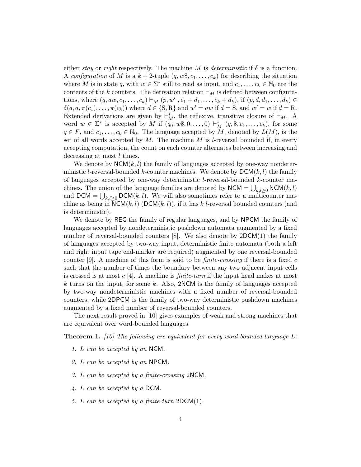either stay or right respectively. The machine M is deterministic if  $\delta$  is a function. A configuration of M is a  $k + 2$ -tuple  $(q, w\$ , c\_1, \ldots, c\_k) for describing the situation where M is in state q, with  $w \in \Sigma^*$  still to read as input, and  $c_1, \ldots, c_k \in \mathbb{N}_0$  are the contents of the k counters. The derivation relation  $\vdash_M$  is defined between configurations, where  $(q, aw, c_1, ..., c_k) \vdash_M (p, w', c_1 + d_1, ..., c_k + d_k)$ , if  $(p, d, d_1, ..., d_k) \in$  $\delta(q, a, \pi(c_1), \ldots, \pi(c_k))$  where  $d \in \{S, R\}$  and  $w' = aw$  if  $d = S$ , and  $w' = w$  if  $d = R$ . Extended derivations are given by  $\vdash_M^*$ , the reflexive, transitive closure of  $\vdash_M$ . A word  $w \in \Sigma^*$  is accepted by M if  $(q_0, w\$ , 0, \ldots, 0) \vdash\_M^\* (q, \\$, c\_1, \ldots, c\_k), for some  $q \in F$ , and  $c_1, \ldots, c_k \in \mathbb{N}_0$ . The language accepted by M, denoted by  $L(M)$ , is the set of all words accepted by  $M$ . The machine  $M$  is l-reversal bounded if, in every accepting computation, the count on each counter alternates between increasing and decreasing at most *l* times.

We denote by  $NCM(k, l)$  the family of languages accepted by one-way nondeterministic l-reversal-bounded k-counter machines. We denote by  $DCM(k, l)$  the family of languages accepted by one-way deterministic l-reversal-bounded k-counter machines. The union of the language families are denoted by  $NCM = \bigcup_{k,l\geq 0} NCM(k,l)$ and DCM =  $\bigcup_{k,l\geq 0}$ DCM $(k, l)$ . We will also sometimes refer to a multicounter machine as being in  $\overline{\mathsf{NCM}}(k, l)$  (DCM $(k, l)$ ), if it has k l-reversal bounded counters (and is deterministic).

We denote by REG the family of regular languages, and by NPCM the family of languages accepted by nondeterministic pushdown automata augmented by a fixed number of reversal-bounded counters [8]. We also denote by 2DCM(1) the family of languages accepted by two-way input, deterministic finite automata (both a left and right input tape end-marker are required) augmented by one reversal-bounded counter [9]. A machine of this form is said to be *finite-crossing* if there is a fixed c such that the number of times the boundary between any two adjacent input cells is crossed is at most c [4]. A machine is *finite-turn* if the input head makes at most k turns on the input, for some k. Also,  $2NCM$  is the family of languages accepted by two-way nondeterministic machines with a fixed number of reversal-bounded counters, while 2DPCM is the family of two-way deterministic pushdown machines augmented by a fixed number of reversal-bounded counters.

The next result proved in [10] gives examples of weak and strong machines that are equivalent over word-bounded languages.

**Theorem 1.** [10] The following are equivalent for every word-bounded language  $L$ :

- 1. L can be accepted by an NCM.
- 2. L can be accepted by an NPCM.
- 3. L can be accepted by a finite-crossing 2NCM.
- 4. L can be accepted by a DCM.
- 5. L can be accepted by a finite-turn 2DCM(1).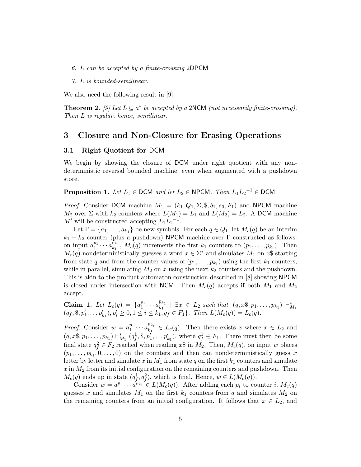- 6. L can be accepted by a finite-crossing 2DPCM
- 7. L is bounded-semilinear.

We also need the following result in [9]:

**Theorem 2.** [9] Let  $L \subseteq a^*$  be accepted by a 2NCM (not necessarily finite-crossing). Then L is regular, hence, semilinear.

### 3 Closure and Non-Closure for Erasing Operations

#### 3.1 Right Quotient for DCM

We begin by showing the closure of DCM under right quotient with any nondeterministic reversal bounded machine, even when augmented with a pushdown store.

**Proposition 1.** Let  $L_1 \in \text{DCM}$  and let  $L_2 \in \text{NPCM}$ . Then  $L_1 L_2^{-1} \in \text{DCM}$ .

*Proof.* Consider DCM machine  $M_1 = (k_1, Q_1, \Sigma, \mathcal{S}, \delta_1, s_0, F_1)$  and NPCM machine  $M_2$  over  $\Sigma$  with  $k_2$  counters where  $L(M_1) = L_1$  and  $L(M_2) = L_2$ . A DCM machine  $M'$  will be constructed accepting  $L_1L_2^{-1}$ .

Let  $\Gamma = \{a_1, \ldots, a_{k_1}\}\$ be new symbols. For each  $q \in Q_1$ , let  $M_c(q)$  be an interim  $k_1 + k_2$  counter (plus a pushdown) NPCM machine over  $\Gamma$  constructed as follows: on input  $a_1^{p_1} \cdots a_{k_1}^{p_{k_1}}$  $k_1^{p_{k_1}}$ ,  $M_c(q)$  increments the first  $k_1$  counters to  $(p_1,\ldots,p_{k_1})$ . Then  $M_c(q)$  nondeterministically guesses a word  $x \in \Sigma^*$  and simulates  $M_1$  on  $x\$  starting from state q and from the counter values of  $(p_1, \ldots, p_{k_1})$  using the first  $k_1$  counters, while in parallel, simulating  $M_2$  on x using the next  $k_2$  counters and the pushdown. This is akin to the product automaton construction described in [8] showing NPCM is closed under intersection with NCM. Then  $M_c(q)$  accepts if both  $M_1$  and  $M_2$ accept.

Claim 1. Let  $L_c(q) = \{a_1^{p_1} \cdots a_{k_1}^{p_{k_1}}\}$ **Claim 1.** Let  $L_c(q) = \{a_1^{p_1} \cdots a_{k_1}^{p_{k_1}} \mid \exists x \in L_2 \text{ such that } (q, x\$, p_1, \ldots, p_{k_1}) \vdash_{M_1}^* (q_f, \$, p'_1, \ldots, p'_{k_1}), p'_i \geq 0, 1 \leq i \leq k_1, q_f \in F_1\}.$  Then  $L(M_c(q)) = L_c(q)$ .

*Proof.* Consider  $w = a_1^{p_1} \cdots a_{k_1}^{p_{k_1}}$  $E_{k_1}^{R_1} \in L_c(q)$ . Then there exists x where  $x \in L_2$  and  $(q, x\$, p_1, \ldots, p_{k_1}) \vdash^*_{M_1} (q_f^1, \$, p_1', \ldots, p_{k_1}),$  where  $q_f^1 \in F_1$ . There must then be some final state  $q_f^2 \in F_2$  reached when reading  $x\$  in  $M_2$ . Then,  $M_c(q)$ , on input w places  $(p_1, \ldots, p_{k_1}, 0, \ldots, 0)$  on the counters and then can nondeterministically guess x letter by letter and simulate x in  $M_1$  from state q on the first  $k_1$  counters and simulate  $x$  in  $M_2$  from its initial configuration on the remaining counters and pushdown. Then  $M_c(q)$  ends up in state  $(q_f^1, q_f^2)$ , which is final. Hence,  $w \in L(M_c(q))$ .

Consider  $w = a^{p_1} \cdots a^{p_{k_1}} \in L(M_c(q))$ . After adding each  $p_i$  to counter i,  $M_c(q)$ guesses x and simulates  $M_1$  on the first  $k_1$  counters from q and simulates  $M_2$  on the remaining counters from an initial configuration. It follows that  $x \in L_2$ , and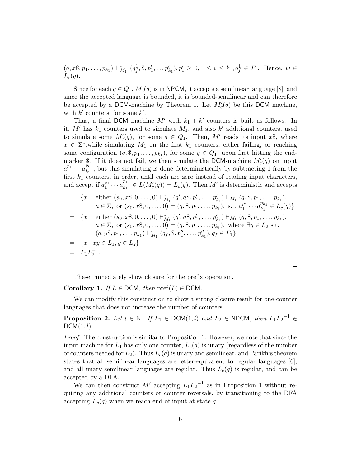$$
(q, x\$\,p_1, \ldots, p_{k_1}) \vdash^*_{M_1} (q_f^1, \$\,p_1', \ldots, p_{k_1}'), p_i' \geq 0, 1 \leq i \leq k_1, q_f^1 \in F_1.
$$
 Hence,  $w \in L_c(q)$ .

Since for each  $q \in Q_1$ ,  $M_c(q)$  is in NPCM, it accepts a semilinear language [8], and since the accepted language is bounded, it is bounded-semilinear and can therefore be accepted by a DCM-machine by Theorem 1. Let  $M'_c(q)$  be this DCM machine, with  $k'$  counters, for some  $k'$ .

Thus, a final DCM machine  $M'$  with  $k_1 + k'$  counters is built as follows. In it,  $M'$  has  $k_1$  counters used to simulate  $M_1$ , and also  $k'$  additional counters, used to simulate some  $M'_c(q)$ , for some  $q \in Q_1$ . Then, M' reads its input  $x\$ , where  $x \in \Sigma^*$ , while simulating  $M_1$  on the first  $k_1$  counters, either failing, or reaching some configuration  $(q, \S, p_1, \ldots, p_{k_1}),$  for some  $q \in Q_1$ , upon first hitting the endmarker \$. If it does not fail, we then simulate the DCM-machine  $M_c'(q)$  on input  $a_1^{p_1}\cdots a_{k_1}^{p_{k_1}}$  $\frac{\mu_{k_1}}{\mu_k}$ , but this simulating is done deterministically by subtracting 1 from the first  $k_1$  counters, in order, until each are zero instead of reading input characters, and accept if  $a_1^{p_1} \cdots a_{k_1}^{p_{k_1}}$  $E_{k_1}^{p_{k_1}} \in L(M'_c(q)) = L_c(q)$ . Then M' is deterministic and accepts

$$
\{x \mid \text{ either } (s_0, x\$, 0, \ldots, 0) \vdash^*_{M_1} (q', a\$, p'_1, \ldots, p'_{k_1}) \vdash_{M_1} (q, \$\$, p_1, \ldots, p_{k_1}),
$$
\n
$$
a \in \Sigma, \text{ or } (s_0, x\$, 0, \ldots, 0) = (q, \$\$, p_1, \ldots, p_{k_1}), \text{ s.t. } a_1^{p_1} \cdots a_{k_1}^{p_{k_1}} \in L_c(q)\}
$$
\n
$$
= \{x \mid \text{ either } (s_0, x\$, 0, \ldots, 0) \vdash^*_{M_1} (q', a\$, p'_1, \ldots, p'_{k_1}) \vdash_{M_1} (q, \$\$, p_1, \ldots, p_{k_1}),
$$
\n
$$
a \in \Sigma, \text{ or } (s_0, x\$, 0, \ldots, 0) = (q, \$\$, p_1, \ldots, p_{k_1}), \text{ where } \exists y \in L_2 \text{ s.t.}
$$
\n
$$
(q, y\$, p_1, \ldots, p_{k_1}) \vdash^*_{M_1} (q_f, \$\$, p''_1, \ldots, p''_{k_1}), q_f \in F_1\}
$$
\n
$$
= \{x \mid xy \in L_1, y \in L_2\}
$$
\n
$$
= L_1 L_2^{-1}.
$$

 $\Box$ 

These immediately show closure for the prefix operation.

Corollary 1. If  $L \in \text{DCM}$ , then  $\text{pref}(L) \in \text{DCM}$ .

We can modify this construction to show a strong closure result for one-counter languages that does not increase the number of counters.

**Proposition 2.** Let  $l \in \mathbb{N}$ . If  $L_1 \in \text{DCM}(1, l)$  and  $L_2 \in \text{NPCM}$ , then  $L_1L_2^{-1} \in$  $DCM(1, l)$ .

Proof. The construction is similar to Proposition 1. However, we note that since the input machine for  $L_1$  has only one counter,  $L_c(q)$  is unary (regardless of the number of counters needed for  $L_2$ ). Thus  $L_c(q)$  is unary and semilinear, and Parikh's theorem states that all semilinear languages are letter-equivalent to regular languages [6], and all unary semilinear languages are regular. Thus  $L_c(q)$  is regular, and can be accepted by a DFA.

We can then construct M' accepting  $L_1L_2^{-1}$  as in Proposition 1 without requiring any additional counters or counter reversals, by transitioning to the DFA accepting  $L_c(q)$  when we reach end of input at state q.  $\Box$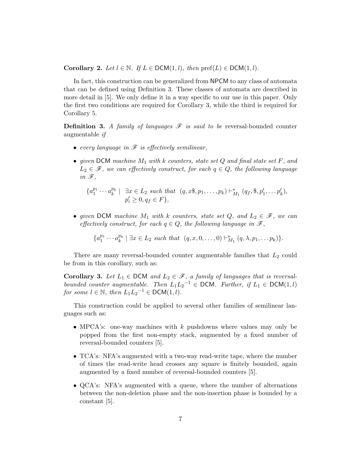Corollary 2. Let  $l \in \mathbb{N}$ . If  $L \in \text{DCM}(1,l)$ , then  $\text{pref}(L) \in \text{DCM}(1,l)$ .

In fact, this construction can be generalized from NPCM to any class of automata that can be defined using Definition 3. These classes of automata are described in more detail in [5]. We only define it in a way specific to our use in this paper. Only the first two conditions are required for Corollary 3, while the third is required for Corollary 5.

**Definition 3.** A family of languages  $\mathcal F$  is said to be reversal-bounded counter augmentable if

- every language in  $\mathscr F$  is effectively semilinear,
- given DCM machine  $M_1$  with k counters, state set Q and final state set F, and  $L_2 \in \mathscr{F}$ , we can effectively construct, for each  $q \in Q$ , the following language in  $\mathscr{F},$

$$
\{a_1^{p_1} \cdots a_k^{p_k} \mid \exists x \in L_2 \text{ such that } (q, x\$, p_1, \ldots, p_k) \vdash_{M_1}^* (q_f, \$\, p_1', \ldots, p_k'),p_i' \ge 0, q_f \in F\},\
$$

• given DCM machine  $M_1$  with k counters, state set  $Q$ , and  $L_2 \in \mathcal{F}$ , we can effectively construct, for each  $q \in Q$ , the following language in  $\mathscr{F}$ ,

$$
\{a_1^{p_1}\cdots a_k^{p_k} \mid \exists x \in L_2 \ \text{such that} \ \ (q, x, 0, \ldots, 0) \vdash_{M_1}^* (q, \lambda, p_1, \ldots, p_k)\}.
$$

There are many reversal-bounded counter augmentable families that  $L_2$  could be from in this corollary, such as:

**Corollary 3.** Let  $L_1 \in \text{DCM}$  and  $L_2 \in \mathcal{F}$ , a family of languages that is reversalbounded counter augmentable. Then  $L_1L_2^{-1} \in \text{DCM}$ . Further, if  $L_1 \in \text{DCM}(1, l)$ for some  $l \in \mathbb{N}$ , then  $L_1L_2^{-1} \in \text{DCM}(1, l)$ .

This construction could be applied to several other families of semilinear languages such as:

- MPCA's: one-way machines with  $k$  pushdowns where values may only be popped from the first non-empty stack, augmented by a fixed number of reversal-bounded counters [5].
- TCA's: NFA's augmented with a two-way read-write tape, where the number of times the read-write head crosses any square is finitely bounded, again augmented by a fixed number of reversal-bounded counters [5].
- QCA's: NFA's augmented with a queue, where the number of alternations between the non-deletion phase and the non-insertion phase is bounded by a constant [5].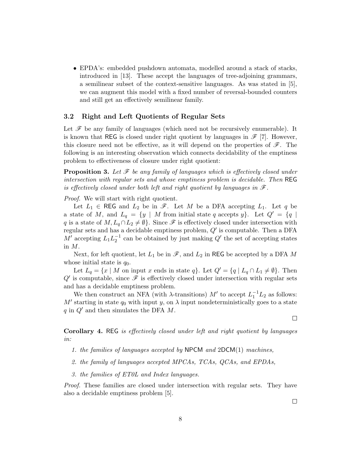• EPDA's: embedded pushdown automata, modelled around a stack of stacks, introduced in [13]. These accept the languages of tree-adjoining grammars, a semilinear subset of the context-sensitive languages. As was stated in [5], we can augment this model with a fixed number of reversal-bounded counters and still get an effectively semilinear family.

#### 3.2 Right and Left Quotients of Regular Sets

Let  $\mathscr F$  be any family of languages (which need not be recursively enumerable). It is known that REG is closed under right quotient by languages in  $\mathscr{F}$  [7]. However, this closure need not be effective, as it will depend on the properties of  $\mathscr{F}$ . The following is an interesting observation which connects decidability of the emptiness problem to effectiveness of closure under right quotient:

**Proposition 3.** Let  $\mathcal F$  be any family of languages which is effectively closed under intersection with regular sets and whose emptiness problem is decidable. Then REG is effectively closed under both left and right quotient by languages in  $\mathscr{F}$ .

Proof. We will start with right quotient.

Let  $L_1 \in \mathsf{REG}$  and  $L_2$  be in  $\mathscr{F}$ . Let M be a DFA accepting  $L_1$ . Let q be a state of M, and  $L_q = \{y \mid M \text{ from initial state } q \text{ accepts } y\}.$  Let  $Q' = \{q \mid M \text{ from initial state } q \text{ accepts } y\}.$ q is a state of  $M, L_q \cap L_2 \neq \emptyset$ . Since  $\mathscr F$  is effectively closed under intersection with regular sets and has a decidable emptiness problem,  $Q'$  is computable. Then a DFA  $M'$  accepting  $L_1L_2^{-1}$  can be obtained by just making  $Q'$  the set of accepting states in M.

Next, for left quotient, let  $L_1$  be in  $\mathscr{F}$ , and  $L_2$  in REG be accepted by a DFA M whose initial state is  $q_0$ .

Let  $L_q = \{x \mid M \text{ on input } x \text{ ends in state } q\}$ . Let  $Q' = \{q \mid L_q \cap L_1 \neq \emptyset\}$ . Then  $Q'$  is computable, since  $\mathscr F$  is effectively closed under intersection with regular sets and has a decidable emptiness problem.

We then construct an NFA (with  $\lambda$ -transitions)  $M'$  to accept  $L_1^{-1}L_2$  as follows: M' starting in state  $q_0$  with input y, on  $\lambda$  input nondeterministically goes to a state q in  $Q'$  and then simulates the DFA M.

Corollary 4. REG is effectively closed under left and right quotient by languages in:

- 1. the families of languages accepted by  $NPCM$  and  $2DCM(1)$  machines,
- 2. the family of languages accepted MPCAs, TCAs, QCAs, and EPDAs,
- 3. the families of ET0L and Index languages.

Proof. These families are closed under intersection with regular sets. They have also a decidable emptiness problem [5].

 $\Box$ 

 $\Box$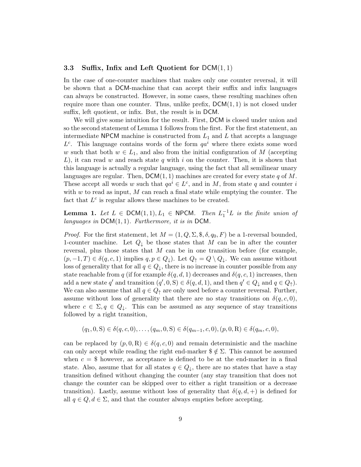#### 3.3 Suffix, Infix and Left Quotient for  $DCM(1, 1)$

In the case of one-counter machines that makes only one counter reversal, it will be shown that a DCM-machine that can accept their suffix and infix languages can always be constructed. However, in some cases, these resulting machines often require more than one counter. Thus, unlike prefix,  $DCM(1, 1)$  is not closed under suffix, left quotient, or infix. But, the result is in DCM.

We will give some intuition for the result. First, DCM is closed under union and so the second statement of Lemma 1 follows from the first. For the first statement, an intermediate NPCM machine is constructed from  $L_1$  and L that accepts a language  $L^c$ . This language contains words of the form  $qa^i$  where there exists some word w such that both  $w \in L_1$ , and also from the initial configuration of M (accepting L), it can read w and reach state q with i on the counter. Then, it is shown that this language is actually a regular language, using the fact that all semilinear unary languages are regular. Then,  $\mathsf{DCM}(1,1)$  machines are created for every state q of M. These accept all words w such that  $qa^i \in L^c$ , and in M, from state q and counter i with  $w$  to read as input,  $M$  can reach a final state while emptying the counter. The fact that  $L^c$  is regular allows these machines to be created.

**Lemma 1.** Let  $L \in \text{DCM}(1,1), L_1 \in \text{NPCM}$ . Then  $L_1^{-1}L$  is the finite union of languages in  $DCM(1, 1)$ . Furthermore, it is in DCM.

*Proof.* For the first statement, let  $M = (1, Q, \Sigma, \emptyset, \delta, q_0, F)$  be a 1-reversal bounded, 1-counter machine. Let  $Q_{\downarrow}$  be those states that M can be in after the counter reversal, plus those states that  $M$  can be in one transition before (for example,  $(p, -1, T) \in \delta(q, c, 1)$  implies  $q, p \in Q_{\downarrow}$ . Let  $Q_{\uparrow} = Q \setminus Q_{\downarrow}$ . We can assume without loss of generality that for all  $q \in Q_{\downarrow}$ , there is no increase in counter possible from any state reachable from q (if for example  $\delta(q, d, 1)$  decreases and  $\delta(q, c, 1)$  increases, then add a new state q' and transition  $(q', 0, S) \in \delta(q, d, 1)$ , and then  $q' \in Q_{\downarrow}$  and  $q \in Q_{\uparrow}$ ). We can also assume that all  $q \in Q_{\uparrow}$  are only used before a counter reversal. Further, assume without loss of generality that there are no stay transitions on  $\delta(q, c, 0)$ , where  $c \in \Sigma, q \in Q_{\downarrow}$ . This can be assumed as any sequence of stay transitions followed by a right transition,

$$
(q_1, 0, S) \in \delta(q, c, 0), \dots, (q_m, 0, S) \in \delta(q_{m-1}, c, 0), (p, 0, R) \in \delta(q_m, c, 0),
$$

can be replaced by  $(p, 0, R) \in \delta(q, c, 0)$  and remain deterministic and the machine can only accept while reading the right end-marker  $\frac{1}{2} \notin \Sigma$ . This cannot be assumed when  $c = $$  however, as acceptance is defined to be at the end-marker in a final state. Also, assume that for all states  $q \in Q_{\downarrow}$ , there are no states that have a stay transition defined without changing the counter (any stay transition that does not change the counter can be skipped over to either a right transition or a decrease transition). Lastly, assume without loss of generality that  $\delta(q, d, +)$  is defined for all  $q \in Q, d \in \Sigma$ , and that the counter always empties before accepting.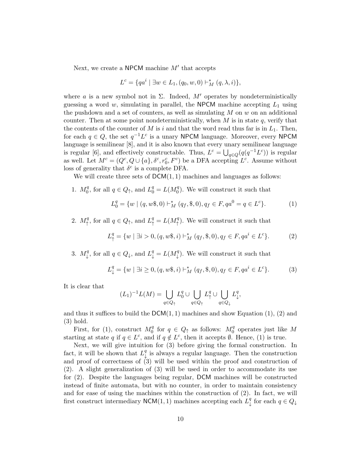Next, we create a NPCM machine  $M'$  that accepts

$$
L^{c} = \{qa^{i} \mid \exists w \in L_{1}, (q_{0}, w, 0) \vdash_{M}^{*} (q, \lambda, i)\},\
$$

where a is a new symbol not in  $\Sigma$ . Indeed,  $M'$  operates by nondeterministically guessing a word w, simulating in parallel, the NPCM machine accepting  $L_1$  using the pushdown and a set of counters, as well as simulating  $M$  on  $w$  on an additional counter. Then at some point nondeterministically, when  $M$  is in state  $q$ , verify that the contents of the counter of M is i and that the word read thus far is in  $L_1$ . Then, for each  $q \in Q$ , the set  $q^{-1}L^c$  is a unary NPCM language. Moreover, every NPCM language is semilinear [8], and it is also known that every unary semilinear language is regular [6], and effectively constructable. Thus,  $L^c = \bigcup_{q \in Q} (q(q^{-1}L^c))$  is regular as well. Let  $M^c = (Q^c, Q \cup \{a\}, \delta^c, r_0^c, F^c)$  be a DFA accepting  $L^c$ . Assume without loss of generality that  $\delta^c$  is a complete DFA.

We will create three sets of  $DCM(1, 1)$  machines and languages as follows:

1.  $M_0^q$  $a_0^q$ , for all  $q \in Q_\uparrow$ , and  $L_0^q = L(M_0^q)$  $\binom{q}{0}$ . We will construct it such that

$$
L_0^q = \{ w \mid (q, w\$, 0) \vdash_M^* (q_f, \$, 0), q_f \in F, qa^0 = q \in L^c \}. \tag{1}
$$

2.  $M_{\uparrow}^q$  $A^q$ , for all  $q \in Q_\uparrow$ , and  $L^q_\uparrow = L(M^q_\uparrow)$  $^{q}_{\uparrow}$ ). We will construct it such that

$$
L^q_{\uparrow} = \{ w \mid \exists i > 0, (q, w\$, i) \vdash_M^* (q_f, \$\,0), q_f \in F, qa^i \in L^c \}. \tag{2}
$$

3.  $M_1^q$  $\downarrow^q$ , for all  $q \in Q_{\downarrow}$ , and  $L^q_{\downarrow} = L(M^q_{\downarrow})$  $^{q}_{\downarrow}$ ). We will construct it such that

$$
L^q_{\downarrow} = \{ w \mid \exists i \ge 0, (q, w\$, i) \vdash^*_{M} (q_f, \$, 0), q_f \in F, qa^i \in L^c \}. \tag{3}
$$

It is clear that

$$
(L_1)^{-1}L(M) = \bigcup_{q \in Q_{\uparrow}} L_0^q \cup \bigcup_{q \in Q_{\uparrow}} L_{\uparrow}^q \cup \bigcup_{q \in Q_{\downarrow}} L_{\downarrow}^q,
$$

and thus it suffices to build the  $DCM(1, 1)$  machines and show Equation (1), (2) and (3) hold.

First, for (1), construct  $M_0^q$  $\frac{q}{0}$  for  $q \in Q_{\uparrow}$  as follows:  $M_0^q$  $_{0}^{q}$  operates just like M starting at state q if  $q \in L^c$ , and if  $q \notin L^c$ , then it accepts  $\emptyset$ . Hence, (1) is true.

Next, we will give intuition for (3) before giving the formal construction. In fact, it will be shown that  $L_1^q$  $\frac{q}{\downarrow}$  is always a regular language. Then the construction and proof of correctness of (3) will be used within the proof and construction of (2). A slight generalization of (3) will be used in order to accommodate its use for (2). Despite the languages being regular, DCM machines will be constructed instead of finite automata, but with no counter, in order to maintain consistency and for ease of using the machines within the construction of (2). In fact, we will first construct intermediary NCM(1, 1) machines accepting each  $L_1^q$  $\mathop{\downarrow}\limits^q$  for each  $q \in Q_{\downarrow}$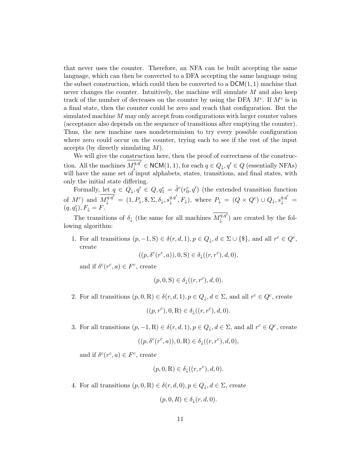that never uses the counter. Therefore, an NFA can be built accepting the same language, which can then be converted to a DFA accepting the same language using the subset construction, which could then be converted to a  $DCM(1, 1)$  machine that never changes the counter. Intuitively, the machine will simulate M and also keep track of the number of decreases on the counter by using the DFA  $M<sup>c</sup>$ . If  $M<sup>c</sup>$  is in a final state, then the counter could be zero and reach that configuration. But the simulated machine  $M$  may only accept from configurations with larger counter values (acceptance also depends on the sequence of transitions after emptying the counter). Thus, the new machine uses nondeterminism to try every possible configuration where zero could occur on the counter, trying each to see if the rest of the input accepts (by directly simulating  $M$ ).

We will give the construction here, then the proof of correctness of the construction. All the machines  $\overline{M_{\downarrow}^{q,q'}} \in \mathsf{NCM}(1,1)$ , for each  $q \in Q_{\downarrow}, q' \in Q$  (essentially NFAs) will have the same set of input alphabets, states, transitions, and final states, with only the initial state differing.

Formally, let  $q \in Q_{\downarrow}, q' \in Q, q_1^c = \hat{\delta}^c(r_0^c, q')$  (the extended transition function of  $M^c$ ) and  $\overline{M^{q,q'}_{\downarrow}} = (1, P_{\downarrow}, \$, \Sigma, \delta_{\downarrow}, s^{q,q'}_{\downarrow})$  $\downarrow^{q,q'}, F_{\downarrow}$ ), where  $P_{\downarrow} = (Q \times Q^c) \cup Q_{\downarrow}, s_{\downarrow}^{q,q'} =$  $(q, q_1^c), F_{\downarrow} = F.$ 

The transitions of  $\delta_{\downarrow}$  (the same for all machines  $\overline{M^{q,q}_{\downarrow}}$  $\downarrow^{q,q}$ ) are created by the following algorithm:

1. For all transitions  $(p, -1, S) \in \delta(r, d, 1), p \in Q_{\downarrow}, d \in \Sigma \cup \{\$\},\$ and all  $r^c \in Q^c$ , create

$$
((p, \delta^c(r^c, a)), 0, S) \in \delta_\downarrow((r, r^c), d, 0),
$$

and if  $\delta^c(r^c, a) \in F^c$ , create

$$
(p,0,S) \in \delta_{\downarrow}((r,r^c),d,0).
$$

2. For all transitions  $(p, 0, R) \in \delta(r, d, 1), p \in Q_{\downarrow}, d \in \Sigma$ , and all  $r^c \in Q^c$ , create

$$
((p, r^c), 0, R) \in \delta_\downarrow((r, r^c), d, 0).
$$

3. For all transitions  $(p, -1, R) \in \delta(r, d, 1), p \in Q_{\downarrow}, d \in \Sigma$ , and all  $r^c \in Q^c$ , create

$$
((p, \delta^c(r^c, a)), 0, R) \in \delta_\downarrow((r, r^c), d, 0),
$$

and if  $\delta^c(r^c, a) \in F^c$ , create

$$
(p,0,\mathbf{R}) \in \delta_{\downarrow}((r,r^c),d,0).
$$

4. For all transitions  $(p, 0, R) \in \delta(r, d, 0), p \in Q_{\downarrow}, d \in \Sigma$ , create

$$
(p,0,R)\in\delta_\downarrow(r,d,0).
$$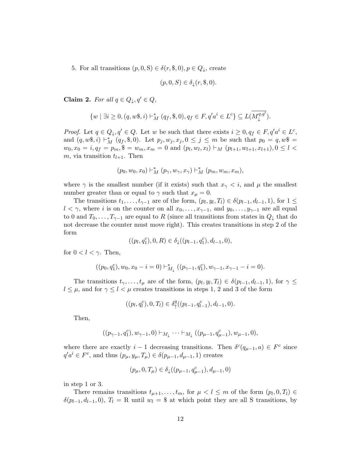5. For all transitions  $(p, 0, S) \in \delta(r, \$, 0), p \in Q_{\downarrow}$ , create

$$
(p,0,S) \in \delta_{\downarrow}(r,\$,0).
$$

Claim 2. For all  $q \in Q_{\downarrow}, q' \in Q$ ,

$$
\{w \mid \exists i \ge 0, (q, w\}, i) \vdash_M^* (q_f, \$, 0), q_f \in F, q' a^i \in L^c\} \subseteq L(\overline{M^{q, q'}_{\downarrow}}).
$$

*Proof.* Let  $q \in Q_{\downarrow}, q' \in Q$ . Let w be such that there exists  $i \geq 0, q_f \in F, q' a^i \in L^c$ , and  $(q, w\$, i) \vdash_M^* (q_f, \$, 0).$  Let  $p_j, w_j, x_j, 0 \le j \le m$  be such that  $p_0 = q, w\$,$  $w_0, x_0 = i, q_f = p_m, \$ = w_m, x_m = 0 \text{ and } (p_l, w_l, x_l) \vdash_M (p_{l+1}, w_{l+1}, x_{l+1}), 0 \leq l <$ m, via transition  $t_{l+1}$ . Then

$$
(p_0, w_0, x_0) \vdash_M^* (p_\gamma, w_\gamma, x_\gamma) \vdash_M^* (p_m, w_m, x_m),
$$

where  $\gamma$  is the smallest number (if it exists) such that  $x_{\gamma} < i$ , and  $\mu$  the smallest number greater than or equal to  $\gamma$  such that  $x_{\mu} = 0$ .

The transitions  $t_1, \ldots, t_{\gamma-1}$  are of the form,  $(p_l, y_l, T_l) \in \delta(p_{l-1}, d_{l-1}, 1)$ , for  $1 \leq$  $l < \gamma$ , where i is on the counter on all  $x_0, \ldots, x_{\gamma-1}$ , and  $y_0, \ldots, y_{\gamma-1}$  are all equal to 0 and  $T_0, \ldots, T_{\gamma-1}$  are equal to R (since all transitions from states in  $Q_{\downarrow}$  that do not decrease the counter must move right). This creates transitions in step 2 of the form

$$
((p_l, q_1^c), 0, R) \in \delta_{\downarrow}((p_{l-1}, q_1^c), d_{l-1}, 0),
$$

for  $0 < l < \gamma$ . Then,

$$
((p_0,q_1^c),w_0,x_0-i=0)\vdash^*_{M_\downarrow}((p_{\gamma-1},q_1^c),w_{\gamma-1},x_{\gamma-1}-i=0).
$$

The transitions  $t_{\gamma}, \ldots, t_{\mu}$  are of the form,  $(p_l, y_l, T_l) \in \delta(p_{l-1}, d_{l-1}, 1)$ , for  $\gamma \leq$  $l \leq \mu$ , and for  $\gamma \leq l \leq \mu$  creates transitions in steps 1, 2 and 3 of the form

$$
((p_l, q_l^c), 0, T_l) \in \delta^q_\uparrow((p_{l-1}, q_{l-1}^c), d_{l-1}, 0).
$$

Then,

$$
((p_{\gamma-1}, q_1^c), w_{\gamma-1}, 0) \vdash_{M_{\downarrow}} \cdots \vdash_{M_{\downarrow}} ((p_{\mu-1}, q_{\mu-1}^c), w_{\mu-1}, 0),
$$

where there are exactly  $i-1$  decreasing transitions. Then  $\delta^c(q_{\mu-1}, a) \in F^c$  since  $q'a^i \in F^c$ , and thus  $(p_\mu, y_\mu, T_\mu) \in \delta(p_{\mu-1}, d_{\mu-1}, 1)$  creates

$$
(p_\mu, 0, T_\mu) \in \delta_\downarrow((p_{\mu-1}, q_{\mu-1}^c), d_{\mu-1}, 0)
$$

in step 1 or 3.

There remains transitions  $t_{\mu+1}, \ldots, t_m$ , for  $\mu < l \leq m$  of the form  $(p_l, 0, T_l) \in$  $\delta(p_{l-1}, d_{l-1}, 0), T_l = \mathbb{R}$  until  $w_l = \$$  at which point they are all S transitions, by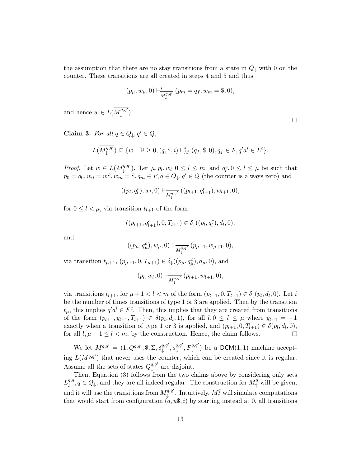the assumption that there are no stay transitions from a state in  $Q_{\downarrow}$  with 0 on the counter. These transitions are all created in steps 4 and 5 and thus

$$
(p_{\mu}, w_{\mu}, 0) \vdash^*_{\overline{M^{q,q'}_{\downarrow}}}(p_m = q_f, w_m = \$, 0),
$$

and hence  $w \in L(\overline{M^{q,q'}_1}]$  $\downarrow^{q,q'}$ ).

 $\Box$ 

Claim 3. For all  $q \in Q_{\perp}, q' \in Q$ ,

$$
L(\overline{M_{\downarrow}^{q,q'}}) \subseteq \{w \mid \exists i \ge 0, (q, \$, i) \vdash_M^* (q_f, \$, 0), q_f \in F, q'a^i \in L^c\}.
$$

*Proof.* Let  $w \in L(\overline{M^{q,q'}_1}]$  $\downarrow^{q,q'}$ ). Let  $\mu, p_l, w_l, 0 \le l \le m$ , and  $q_l^c, 0 \le l \le \mu$  be such that  $p_0 = q_0, w_0 = w\$,$   $w_m = \$,$   $q_m \in F,$   $q \in Q_\downarrow$ ,  $q' \in Q$  (the counter is always zero) and

$$
((p_l, q_l^c), w_l, 0) \vdash_{\overline{M_\downarrow^{q,q'}}} ((p_{l+1}, q_{l+1}^c), w_{l+1}, 0),
$$

for  $0 \leq l \leq \mu$ , via transition  $t_{l+1}$  of the form

$$
((p_{l+1}, q_{l+1}^c), 0, T_{l+1}) \in \delta_{\downarrow}((p_l, q_l^c), d_l, 0),
$$

and

$$
((p_{\mu}, q_{\mu}^c), w_{\mu}, 0) \vdash_{\overline{M_{\downarrow}^{q,q'}}} (p_{\mu+1}, w_{\mu+1}, 0),
$$

via transition  $t_{\mu+1}$ ,  $(p_{\mu+1}, 0, T_{\mu+1}) \in \delta_{\downarrow}((p_{\mu}, q_{\mu}^c), d_{\mu}, 0)$ , and

$$
(p_l, w_l, 0) \vdash_{\overline{M^{q,q'}_{\downarrow}}} (p_{l+1}, w_{l+1}, 0),
$$

via transitions  $t_{l+1}$ , for  $\mu+1 < l < m$  of the form  $(p_{l+1}, 0, T_{l+1}) \in \delta_{\downarrow}(p_l, d_l, 0)$ . Let i be the number of times transitions of type 1 or 3 are applied. Then by the transition  $t_{\mu}$ , this implies  $q' a^{i} \in F^{c}$ . Then, this implies that they are created from transitions of the form  $(p_{l+1}, y_{l+1}, T_{l+1}) \in \delta(p_l, d_l, 1)$ , for all  $l, 0 \le l \le \mu$  where  $y_{l+1} = -1$ exactly when a transition of type 1 or 3 is applied, and  $(p_{l+1}, 0, T_{l+1}) \in \delta(p_l, d_l, 0)$ ,  $\Box$ for all  $l, \mu + 1 \leq l < m$ , by the construction. Hence, the claim follows.

We let  $M^{q,q'} = (1, Q^{q,q'}, \$, \Sigma, \delta_{\downarrow}^{q,q'}, s_{\downarrow}^{q,q'}$  $\downarrow^{q,q'}$ ,  $F_{\downarrow}^{q,q'}$ ) be a DCM(1, 1) machine accepting  $L(\overline{M^{q,q'}})$  that never uses the counter, which can be created since it is regular. Assume all the sets of states  $Q_1^{q,q'}$  $\downarrow^{q,q}$  are disjoint.

Then, Equation (3) follows from the two claims above by considering only sets  $L^{q,q}_1$  $\downarrow^{q,q}, q \in Q_{\downarrow}$ , and they are all indeed regular. The construction for  $M_{\uparrow}^{q}$  will be given, and it will use the transitions from  $M_1^{q,q'}$  $\downarrow^{q,q'}$ . Intuitively,  $M_{\uparrow}^q$  will simulate computations that would start from configuration  $(q, u\$, i)$  by starting instead at 0, all transitions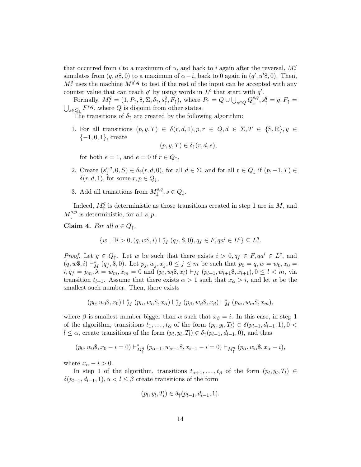that occurred from i to a maximum of  $\alpha$ , and back to i again after the reversal,  $M_{\star}^{q}$ ↑ simulates from  $(q, u\$ , 0) to a maximum of  $\alpha - i$ , back to 0 again in  $(q', u'\$ , 0). Then,  $M_{\uparrow}^q$ q uses the machine  $M^{q',q}$  to test if the rest of the input can be accepted with any counter value that can reach  $q'$  by using words in  $L^c$  that start with  $q'$ .

Formally,  $M^q_\uparrow=(1,P_\uparrow,\$, \tilde{\Sigma},\tilde{\delta_\uparrow},s^q_\uparrow)$  $P_{\uparrow}^{q}, F_{\uparrow}$ ), where  $P_{\uparrow} = Q \cup \bigcup_{s \in Q} Q_{\downarrow}^{s,q}$ Formally,  $M_{\uparrow}^q = (1, P_{\uparrow}, \$, \Sigma, \delta_{\uparrow}, s_{\uparrow}^q, F_{\uparrow})$ , where  $P_{\uparrow} = Q \cup \bigcup_{s \in Q} Q_{\downarrow}^{s, q}, s_{\uparrow}^q = q, F_{\uparrow} = \bigcup_{s \in Q} F^{s, q}$ , where Q is disjoint from other states.  ${}_{s \in Q_{\downarrow}} F^{s,q}$ , where Q is disjoint from other states.

The transitions of  $\delta_{\uparrow}$  are created by the following algorithm:

1. For all transitions  $(p, y, T) \in \delta(r, d, 1), p, r \in Q, d \in \Sigma, T \in \{S, R\}, y \in$  ${-1, 0, 1}$ , create

$$
(p, y, T) \in \delta_{\uparrow}(r, d, e),
$$

for both  $e = 1$ , and  $e = 0$  if  $r \in Q_{\uparrow}$ ,

- 2. Create  $(s^{r,q}_1)$  $\psi^{r,q}_+(0, S) \in \delta_{\uparrow}(r, d, 0)$ , for all  $d \in \Sigma$ , and for all  $r \in Q_{\downarrow}$  if  $(p, -1, T) \in$  $\delta(r, d, 1)$ , for some  $r, p \in Q_{\perp}$ ,
- 3. Add all transitions from  $M_1^{s,q}$  $\downarrow^{s,q}, s \in Q_{\downarrow}$ .

Indeed,  $M_{\uparrow}^q$ <sup>q</sup> is deterministic as those transitions created in step 1 are in  $M$ , and  $M_1^{s,p}$  $\downarrow^{s,p}$  is deterministic, for all  $s, p$ .

Claim 4. For all  $q \in Q_{\uparrow}$ ,

$$
\{w \mid \exists i > 0, (q, w\$, i) \vdash_M^* (q_f, \$, 0), q_f \in F, qa^i \in L^c\} \subseteq L^q_+
$$

*Proof.* Let  $q \in Q_{\uparrow}$ . Let w be such that there exists  $i > 0, q_f \in F, q a^i \in L^c$ , and  $(q, w\$, i) \vdash_M^* (q_f, \$, 0).$  Let  $p_j, w_j, x_j, 0 \leq j \leq m$  be such that  $p_0 = q, w = w_0, x_0 = w_0$  $i, q_f = p_m, \lambda = w_m, x_m = 0$  and  $(p_l, w_l\$, x_l) \vdash_M (p_{l+1}, w_{l+1}\$, x_{l+1}), 0 \leq l < m$ , via transition  $t_{l+1}$ . Assume that there exists  $\alpha > 1$  such that  $x_{\alpha} > i$ , and let  $\alpha$  be the smallest such number. Then, there exists

$$
(p_0, w_0\$, x_0) \vdash_M^* (p_\alpha, w_\alpha\$, x_\alpha) \vdash_M^* (p_\beta, w_\beta\$, x_\beta) \vdash_M^* (p_m, w_m\$, x_m),
$$

where  $\beta$  is smallest number bigger than  $\alpha$  such that  $x_{\beta} = i$ . In this case, in step 1 of the algorithm, transitions  $t_1, \ldots, t_\alpha$  of the form  $(p_l, y_l, T_l) \in \delta(p_{l-1}, d_{l-1}, 1), 0 <$  $l \leq \alpha$ , create transitions of the form  $(p_l, y_l, T_l) \in \delta_{\uparrow}(p_{l-1}, d_{l-1}, 0)$ , and thus

$$
(p_0, w_0\$, x_0 - i = 0) \vdash^*_{M^q_\uparrow} (p_{\alpha-1}, w_{\alpha-1}\$, x_{i-1} - i = 0) \vdash_{M^q_\uparrow} (p_\alpha, w_\alpha\$, x_\alpha - i),
$$

where  $x_{\alpha} - i > 0$ .

In step 1 of the algorithm, transitions  $t_{\alpha+1}, \ldots, t_{\beta}$  of the form  $(p_l, y_l, T_l) \in$  $\delta(p_{l-1}, d_{l-1}, 1), \alpha < l \leq \beta$  create transitions of the form

$$
(p_l, y_l, T_l) \in \delta_{\uparrow}(p_{l-1}, d_{l-1}, 1).
$$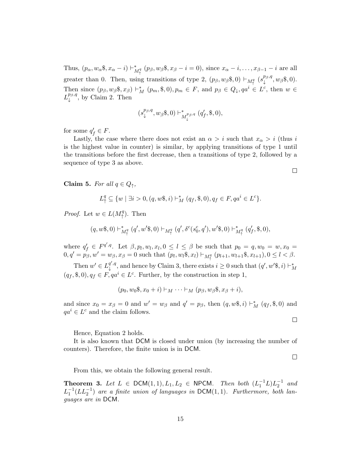Thus,  $(p_\alpha, w_\alpha\$ ,  $x_\alpha - i$ )  $\vdash^*_{M_1^q} (p_\beta, w_\beta\$ ,  $x_\beta - i = 0)$ , since  $x_\alpha - i, \ldots, x_{\beta-1} - i$  are all greater than 0. Then, using transitions of type 2,  $(p_\beta, w_\beta \$ q 0) \vdash\_{M^q\_\uparrow} (s\_\downarrow^{p\_\beta,q})  $_{\downarrow}^{\mu_{\beta},q},w_{\beta},\emptyset).$ Then since  $(p_\beta, w_\beta \$ , x\_\beta) \vdash\_M^\* (p\_m, \\$, 0), p\_m \in F, and  $p_\beta \in Q_\downarrow, qa^i \in L^c$ , then  $w \in$  $L^{p_\beta,q}_+$  $\downarrow^{\mu_{\beta},q}$ , by Claim 2. Then

$$
(s_\downarrow^{p_\beta,q}, w_\beta\$,0) \vdash^*_{M_\downarrow^{p_\beta,q}} (q'_f, \$,0),
$$

for some  $q'_f \in F$ .

Lastly, the case where there does not exist an  $\alpha > i$  such that  $x_{\alpha} > i$  (thus i is the highest value in counter) is similar, by applying transitions of type 1 until the transitions before the first decrease, then a transitions of type 2, followed by a sequence of type 3 as above.

Claim 5. For all  $q \in Q_{\uparrow}$ ,

$$
L_1^q \subseteq \{w \mid \exists i > 0, (q, w\$, i) \vdash_M^* (q_f, \$, 0), q_f \in F, qa^i \in L^c \}.
$$

*Proof.* Let  $w \in L(M^q_+$  $\uparrow$ <sup>q</sup>). Then

$$
(q,w\$,0) \vdash^*_{M^q_\uparrow} (q',w'\$,0) \vdash_{M^q_\uparrow} (q',\delta^c(s^c_0,q'),w'\$,0) \vdash^*_{M^q_\uparrow} (q'_f,\$,0),
$$

where  $q'_{f} \in F^{q',q}$ . Let  $\beta, p_l, w_l, x_l, 0 \leq l \leq \beta$  be such that  $p_0 = q, w_0 = w, x_0 = w$  $0, q' = p_{\beta}, w' = w_{\beta}, x_{\beta} = 0$  such that  $(p_l, w_l, x_l) \vdash_{M^q_+} (p_{l+1}, w_{l+1}, x_{l+1}), 0 \leq l < \beta.$ 

Then  $w' \in L_1^{q',q}$  $\downarrow^{q',q}$ , and hence by Claim 3, there exists  $i \geq 0$  such that  $(q', w' \$, i) \vdash_M^*$  $(q_f, \$, 0), q_f \in F, q a^i \in L^c$ . Further, by the construction in step 1,

$$
(p_0, w_0\$, x_0 + i) \vdash_M \cdots \vdash_M (p_\beta, w_\beta\$, x_\beta + i),
$$

and since  $x_0 = x_\beta = 0$  and  $w' = w_\beta$  and  $q' = p_\beta$ , then  $(q, w\$ dd,  $i) \vdash_M^* (q_f, \$, 0)$  and  $qa^i \in L^c$  and the claim follows.

Hence, Equation 2 holds.

It is also known that DCM is closed under union (by increasing the number of counters). Therefore, the finite union is in DCM.

 $\Box$ 

 $\Box$ 

From this, we obtain the following general result.

**Theorem 3.** Let  $L \in \text{DCM}(1,1), L_1, L_2 \in \text{NPCM}$ . Then both  $(L_1^{-1}L)L_2^{-1}$  and  $L_1^{-1}(LL_2^{-1})$  are a finite union of languages in DCM(1,1). Furthermore, both languages are in DCM.

 $\Box$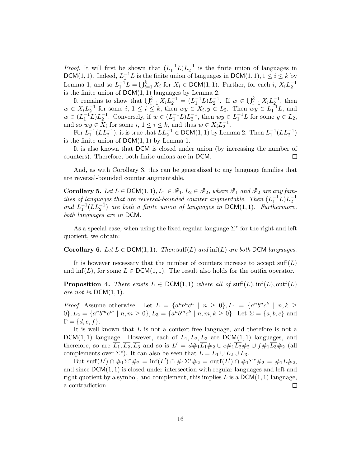*Proof.* It will first be shown that  $(L_1^{-1}L)L_2^{-1}$  is the finite union of languages in DCM(1, 1). Indeed,  $L_1^{-1}L$  is the finite union of languages in DCM(1, 1),  $1 \le i \le k$  by Lemma 1, and so  $L_1^{-1}L = \bigcup_{i=1}^k X_i$  for  $X_i \in \text{DCM}(1,1)$ . Further, for each i,  $X_i L_2^{-1}$ 2 is the finite union of  $DCM(1, 1)$  languages by Lemma 2.

It remains to show that  $\bigcup_{i=1}^{k} X_i L_2^{-1} = (L_1^{-1}L) L_2^{-1}$ . If  $w \in \bigcup_{i=1}^{k} X_i L_2^{-1}$ , then  $w \in X_i L_2^{-1}$  for some  $i, 1 \leq i \leq k$ , then  $wy \in X_i, y \in L_2$ . Then  $wy \in L_1^{-1}L$ , and  $w \in (L_1^{-1}L)L_2^{-1}$ . Conversely, if  $w \in (L_1^{-1}L)L_2^{-1}$ , then  $wy \in L_1^{-1}L$  for some  $y \in L_2$ , and so  $wy \in X_i$  for some  $i, 1 \le i \le k$ , and thus  $w \in X_i L_2^{-1}$ .

For  $L_1^{-1}(LL_2^{-1})$ , it is true that  $LL_2^{-1} \in \text{DCM}(1,1)$  by Lemma 2. Then  $L_1^{-1}(LL_2^{-1})$ is the finite union of  $DCM(1, 1)$  by Lemma 1.

It is also known that DCM is closed under union (by increasing the number of counters). Therefore, both finite unions are in DCM.  $\Box$ 

And, as with Corollary 3, this can be generalized to any language families that are reversal-bounded counter augmentable.

**Corollary 5.** Let  $L \in \text{DCM}(1,1), L_1 \in \mathcal{F}_1, L_2 \in \mathcal{F}_2$ , where  $\mathcal{F}_1$  and  $\mathcal{F}_2$  are any families of languages that are reversal-bounded counter augmentable. Then  $(L_1^{-1}L)L_2^{-1}$ and  $L_1^{-1}(LL_2^{-1})$  are both a finite union of languages in  $DCM(1, 1)$ . Furthermore, both languages are in DCM.

As a special case, when using the fixed regular language  $\Sigma^*$  for the right and left quotient, we obtain:

Corollary 6. Let  $L \in \text{DCM}(1, 1)$ . Then suff(L) and  $\inf(L)$  are both DCM languages.

It is however necessary that the number of counters increase to accept  $\text{suffix}(L)$ and  $\inf(L)$ , for some  $L \in \text{DCM}(1, 1)$ . The result also holds for the outfix operator.

**Proposition 4.** There exists  $L \in \text{DCM}(1,1)$  where all of suff(L),  $\text{inf}(L)$ ,  $\text{out}(L)$ are not in  $DCM(1, 1)$ .

*Proof.* Assume otherwise. Let  $L = \{a^n b^n c^n \mid n \ge 0\}$ ,  $L_1 = \{a^n b^n c^k \mid n, k \ge 0\}$  $0\}, L_2 = \{a^n b^m c^m \mid n, m \ge 0\}, L_3 = \{a^n b^m c^k \mid n, m, k \ge 0\}.$  Let  $\Sigma = \{a, b, c\}$  and  $\Gamma = \{d, e, f\}.$ 

It is well-known that L is not a context-free language, and therefore is not a DCM(1,1) language. However, each of  $L_1, L_2, L_3$  are DCM(1,1) languages, and therefore, so are  $\overline{L_1}, \overline{L_2}, \overline{L_3}$  and so is  $L' = d\#_1 \overline{L_1} \#_2 \cup e\#_1 \overline{L_2} \#_2 \cup f\#_1 \overline{L_3} \#_2$  (all complements over  $\Sigma^*$ ). It can also be seen that  $\overline{L} = \overline{L_1} \cup \overline{L_2} \cup \overline{L_3}$ .

But  $\text{suffixing } L' \cap \#_1 \Sigma^* \#_2 = \inf(L') \cap \#_1 \Sigma^* \#_2 = \text{outf}(L') \cap \#_1 \Sigma^* \#_2 = \#_1 L \#_2$ and since  $DCM(1, 1)$  is closed under intersection with regular languages and left and right quotient by a symbol, and complement, this implies L is a  $DCM(1, 1)$  language, a contradiction.  $\Box$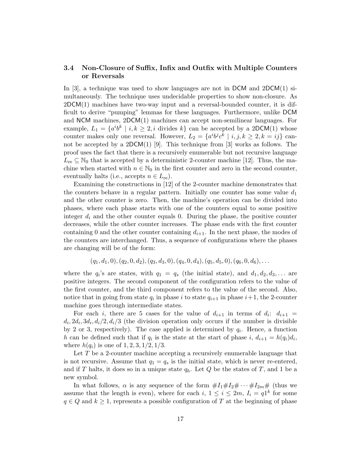### 3.4 Non-Closure of Suffix, Infix and Outfix with Multiple Counters or Reversals

In [3], a technique was used to show languages are not in DCM and  $2DCM(1)$  simultaneously. The technique uses undecidable properties to show non-closure. As  $2DCM(1)$  machines have two-way input and a reversal-bounded counter, it is difficult to derive "pumping" lemmas for these languages. Furthermore, unlike DCM and NCM machines, 2DCM(1) machines can accept non-semilinear languages. For example,  $L_1 = \{a^i b^k \mid i, k \geq 2, i \text{ divides } k\}$  can be accepted by a 2DCM(1) whose counter makes only one reversal. However,  $L_2 = \{a^i b^j c^k \mid i, j, k \ge 2, k = ij\}$  cannot be accepted by a 2DCM(1) [9]. This technique from [3] works as follows. The proof uses the fact that there is a recursively enumerable but not recursive language  $L_{\text{re}} \subseteq \mathbb{N}_0$  that is accepted by a deterministic 2-counter machine [12]. Thus, the machine when started with  $n \in \mathbb{N}_0$  in the first counter and zero in the second counter, eventually halts (i.e., accepts  $n \in L_{\text{re}}$ ).

Examining the constructions in [12] of the 2-counter machine demonstrates that the counters behave in a regular pattern. Initially one counter has some value  $d_1$ and the other counter is zero. Then, the machine's operation can be divided into phases, where each phase starts with one of the counters equal to some positive integer  $d_i$  and the other counter equals 0. During the phase, the positive counter decreases, while the other counter increases. The phase ends with the first counter containing 0 and the other counter containing  $d_{i+1}$ . In the next phase, the modes of the counters are interchanged. Thus, a sequence of configurations where the phases are changing will be of the form:

$$
(q_1, d_1, 0), (q_2, 0, d_2), (q_3, d_3, 0), (q_4, 0, d_4), (q_5, d_5, 0), (q_6, 0, d_6), \ldots
$$

where the  $q_i$ 's are states, with  $q_1 = q_s$  (the initial state), and  $d_1, d_2, d_3, \ldots$  are positive integers. The second component of the configuration refers to the value of the first counter, and the third component refers to the value of the second. Also, notice that in going from state  $q_i$  in phase i to state  $q_{i+1}$  in phase  $i+1$ , the 2-counter machine goes through intermediate states.

For each i, there are 5 cases for the value of  $d_{i+1}$  in terms of  $d_i$ :  $d_{i+1}$  =  $d_i$ ,  $2d_i$ ,  $3d_i$ ,  $d_i/2$ ,  $d_i/3$  (the division operation only occurs if the number is divisible by 2 or 3, respectively). The case applied is determined by  $q_i$ . Hence, a function h can be defined such that if  $q_i$  is the state at the start of phase  $i, d_{i+1} = h(q_i)d_i$ , where  $h(q_i)$  is one of  $1, 2, 3, 1/2, 1/3$ .

Let T be a 2-counter machine accepting a recursively enumerable language that is not recursive. Assume that  $q_1 = q_s$  is the initial state, which is never re-entered, and if T halts, it does so in a unique state  $q_h$ . Let Q be the states of T, and 1 be a new symbol.

In what follows,  $\alpha$  is any sequence of the form  $\#I_1\#I_2\#\cdots\#I_{2m}\#$  (thus we assume that the length is even), where for each  $i, 1 \leq i \leq 2m, I_i = q1^k$  for some  $q \in Q$  and  $k \geq 1$ , represents a possible configuration of T at the beginning of phase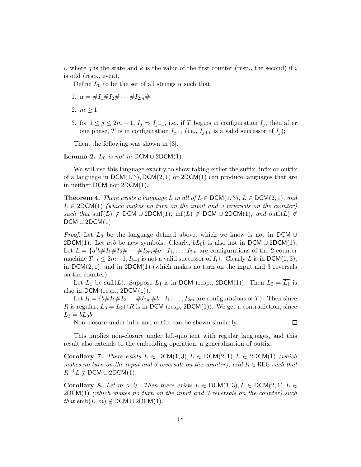i, where q is the state and k is the value of the first counter (resp., the second) if i is odd (resp., even).

Define  $L_0$  to be the set of all strings  $\alpha$  such that

- 1.  $\alpha = \#I_1 \# I_2 \# \cdots \# I_{2m} \#;$
- 2.  $m > 1$ ;
- 3. for  $1 \leq j \leq 2m-1$ ,  $I_j \Rightarrow I_{j+1}$ , i.e., if T begins in configuration  $I_j$ , then after one phase, T is in configuration  $I_{j+1}$  (i.e.,  $I_{j+1}$  is a valid successor of  $I_j$ );

Then, the following was shown in [3].

**Lemma 2.**  $L_0$  is not in DCM ∪ 2DCM(1).

We will use this language exactly to show taking either the suffix, infix or outfix of a language in  $DCM(1,3)$ ,  $DCM(2,1)$  or  $2DCM(1)$  can produce languages that are in neither DCM nor 2DCM(1).

**Theorem 4.** There exists a language L in all of  $L \in \text{DCM}(1, 3)$ ,  $L \in \text{DCM}(2, 1)$ , and  $L \in 2DCM(1)$  (which makes no turn on the input and 3 reversals on the counter) such that suff(L)  $\notin$  DCM ∪ 2DCM(1), inf(L)  $\notin$  DCM ∪ 2DCM(1), and outf(L)  $\notin$  $DCM \cup 2DCM(1)$ .

*Proof.* Let  $L_0$  be the language defined above, which we know is not in DCM ∪ 2DCM(1). Let a, b be new symbols. Clearly,  $bL_0b$  is also not in DCM ∪ 2DCM(1). Let  $L = \{a^i b \# I_1 \# I_2 \# \cdots \# I_{2m} \# b \mid I_1, \ldots, I_{2m} \text{ are configurations of the 2-counter}$ machine T,  $i \leq 2m-1, I_{i+1}$  is not a valid successor of  $I_i$ . Clearly L is in DCM(1,3), in  $DCM(2, 1)$ , and in  $2DCM(1)$  (which makes no turn on the input and 3 reversals on the counter).

Let  $L_1$  be suff(L). Suppose  $L_1$  is in DCM (resp., 2DCM(1)). Then  $L_2 = \overline{L_1}$  is also in DCM (resp.,  $2DCM(1)$ ).

Let  $R = \{b \# I_1 \# I_2 \cdots \# I_{2m} \# b \mid I_1, \ldots, I_{2m} \text{ are configurations of } T \}.$  Then since R is regular,  $L_3 = L_2 \cap R$  is in DCM (resp, 2DCM(1)). We get a contradiction, since  $L_3 = bL_0b.$ 

Non-closure under infix and outfix can be shown similarly.

 $\Box$ 

This implies non-closure under left-quotient with regular languages, and this result also extends to the embedding operation, a generalization of outfix.

Corollary 7. There exists  $L \in \text{DCM}(1, 3), L \in \text{DCM}(2, 1), L \in 2\text{DCM}(1)$  (which makes no turn on the input and 3 reversals on the counter), and  $R \in \text{REG}$  such that  $R^{-1}L \notin \mathsf{DCM} \cup 2\mathsf{DCM}(1)$ .

Corollary 8. Let  $m > 0$ . Then there exists  $L \in \text{DCM}(1,3), L \in \text{DCM}(2,1), L \in$  $2DCM(1)$  (which makes no turn on the input and 3 reversals on the counter) such that emb $(L, m) \notin \text{DCM} \cup 2\text{DCM}(1)$ .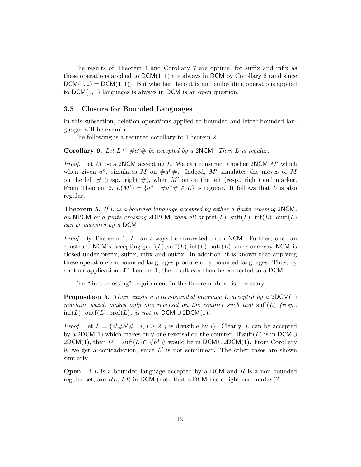The results of Theorem 4 and Corollary 7 are optimal for suffix and infix as these operations applied to  $DCM(1, 1)$  are always in DCM by Corollary 6 (and since  $DCM(1, 2) = DCM(1, 1)$ . But whether the outfix and embedding operations applied to DCM(1, 1) languages is always in DCM is an open question.

#### 3.5 Closure for Bounded Languages

In this subsection, deletion operations applied to bounded and letter-bounded languages will be examined.

The following is a required corollary to Theorem 2.

**Corollary 9.** Let  $L \subseteq #a^*#$  be accepted by a 2NCM. Then L is regular.

*Proof.* Let M be a 2NCM accepting L. We can construct another 2NCM  $M'$  which when given  $a^n$ , simulates M on  $\#a^n\#$ . Indeed, M' simulates the moves of M on the left  $#$  (resp., right  $#$ ), when M' on on the left (resp., right) end marker. From Theorem 2,  $L(M') = \{a^n \mid \#a^n \# \in L\}$  is regular. It follows that L is also regular.  $\Box$ 

**Theorem 5.** If L is a bounded language accepted by either a finite-crossing 2NCM, an NPCM or a finite-crossing 2DPCM, then all of  $\text{pref}(L)$ ,  $\text{suffix}(L)$ ,  $\text{inf}(L)$ ,  $\text{outf}(L)$ can be accepted by a DCM.

*Proof.* By Theorem 1, L can always be converted to an NCM. Further, one can construct NCM's accepting  $\text{pref}(L), \text{suffix}(L), \text{inf}(L), \text{outf}(L)$  since one-way NCM is closed under prefix, suffix, infix and outfix. In addition, it is known that applying these operations on bounded languages produce only bounded languages. Thus, by another application of Theorem 1, the result can then be converted to a DCM.  $\Box$ 

The "finite-crossing" requirement in the theorem above is necessary:

**Proposition 5.** There exists a letter-bounded language L accepted by a  $2DCM(1)$ machine which makes only one reversal on the counter such that suff(L) (resp.,  $\inf(L)$ ,  $\mathrm{outf}(L)$ ,  $\mathrm{pref}(L)$ ) is not in DCM ∪ 2DCM(1).

*Proof.* Let  $L = \{a^i \# b^j \# \mid i, j \geq 2, j \text{ is divisible by } i\}$ . Clearly, L can be accepted by a 2DCM(1) which makes only one reversal on the counter. If  $\text{suffix}(L)$  is in DCM ∪ 2DCM(1), then  $L' = \text{suffix}(L) \cap \#b^+\#$  would be in DCM ∪ 2DCM(1). From Corollary 9, we get a contradiction, since  $L'$  is not semilinear. The other cases are shown similarly.  $\Box$ 

**Open:** If L is a bounded language accepted by a DCM and R is a non-bounded regular set, are RL, LR in DCM (note that a DCM has a right end-marker)?